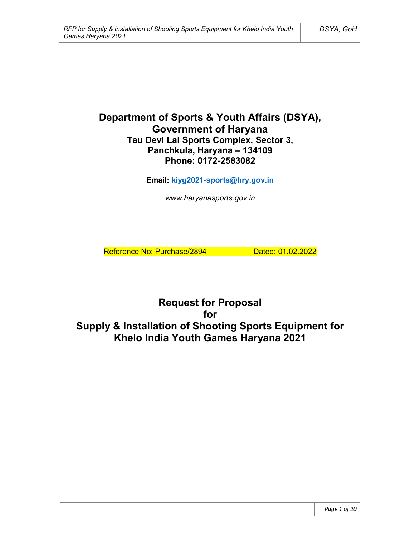# **Department of Sports & Youth Affairs (DSYA), Government of Haryana Tau Devi Lal Sports Complex, Sector 3, Panchkula, Haryana – 134109 Phone: 0172-2583082**

**Email: kiyg2021-sports@hry.gov.in**

*www.haryanasports.gov.in*

Reference No: Purchase/2894 Dated: 01.02.2022

**Request for Proposal for Supply & Installation of Shooting Sports Equipment for Khelo India Youth Games Haryana 2021**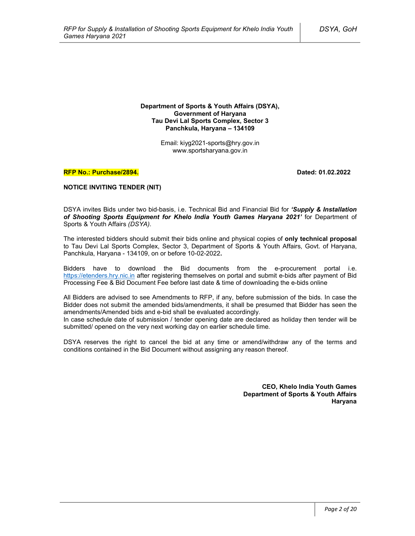**Department of Sports & Youth Affairs (DSYA), Government of Haryana Tau Devi Lal Sports Complex, Sector 3 Panchkula, Haryana – 134109**

> Email: kiyg2021-sports@hry.gov.in www.sportsharyana.gov.in

#### **RFP No.: Purchase/2894. Dated: 01.02.2022**

#### **NOTICE INVITING TENDER (NIT)**

DSYA invites Bids under two bid-basis, i.e. Technical Bid and Financial Bid for *'Supply & Installation of Shooting Sports Equipment for Khelo India Youth Games Haryana 2021'* for Department of Sports & Youth Affairs *(DSYA)*.

The interested bidders should submit their bids online and physical copies of **only technical proposal** to Tau Devi Lal Sports Complex, Sector 3, Department of Sports & Youth Affairs, Govt. of Haryana, Panchkula, Haryana - 134109, on or before 10-02-2022**.**

Bidders have to download the Bid documents from the e-procurement portal i.e. https://etenders.hry.nic.in after registering themselves on portal and submit e-bids after payment of Bid Processing Fee & Bid Document Fee before last date & time of downloading the e-bids online

All Bidders are advised to see Amendments to RFP, if any, before submission of the bids. In case the Bidder does not submit the amended bids/amendments, it shall be presumed that Bidder has seen the amendments/Amended bids and e-bid shall be evaluated accordingly.

In case schedule date of submission / tender opening date are declared as holiday then tender will be submitted/ opened on the very next working day on earlier schedule time.

DSYA reserves the right to cancel the bid at any time or amend/withdraw any of the terms and conditions contained in the Bid Document without assigning any reason thereof.

> **CEO, Khelo India Youth Games Department of Sports & Youth Affairs Haryana**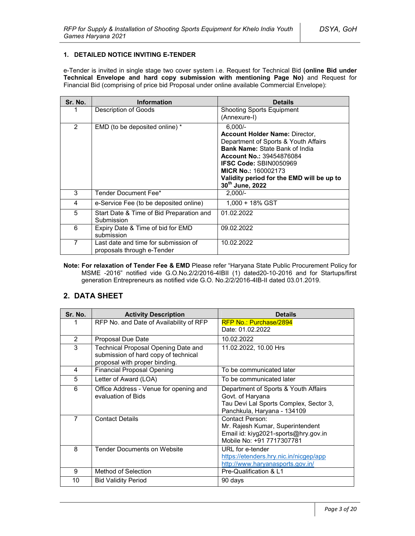### **1. DETAILED NOTICE INVITING E-TENDER**

e-Tender is invited in single stage two cover system i.e. Request for Technical Bid **(online Bid under Technical Envelope and hard copy submission with mentioning Page No)** and Request for Financial Bid (comprising of price bid Proposal under online available Commercial Envelope):

| Sr. No. | <b>Information</b>                                                 | <b>Details</b>                                                                                                                                                                                                                                                                                        |
|---------|--------------------------------------------------------------------|-------------------------------------------------------------------------------------------------------------------------------------------------------------------------------------------------------------------------------------------------------------------------------------------------------|
|         | Description of Goods                                               | <b>Shooting Sports Equipment</b><br>(Annexure-I)                                                                                                                                                                                                                                                      |
| 2       | EMD (to be deposited online) *                                     | $6.000/-$<br><b>Account Holder Name: Director,</b><br>Department of Sports & Youth Affairs<br><b>Bank Name: State Bank of India</b><br><b>Account No.: 39454876084</b><br><b>IFSC Code: SBIN0050969</b><br><b>MICR No.: 160002173</b><br>Validity period for the EMD will be up to<br>30th June, 2022 |
| 3       | Tender Document Fee*                                               | $2.000/-$                                                                                                                                                                                                                                                                                             |
| 4       | e-Service Fee (to be deposited online)                             | 1.000 + 18% GST                                                                                                                                                                                                                                                                                       |
| 5       | Start Date & Time of Bid Preparation and<br>Submission             | 01.02.2022                                                                                                                                                                                                                                                                                            |
| 6       | Expiry Date & Time of bid for EMD<br>submission                    | 09.02.2022                                                                                                                                                                                                                                                                                            |
| 7       | Last date and time for submission of<br>proposals through e-Tender | 10.02.2022                                                                                                                                                                                                                                                                                            |

**Note: For relaxation of Tender Fee & EMD** Please refer "Haryana State Public Procurement Policy for MSME -2016" notified vide G.O.No.2/2/2016-4IBII (1) dated20-10-2016 and for Startups/first generation Entrepreneurs as notified vide G.O. No.2/2/2016-4IB-II dated 03.01.2019.

# **2. DATA SHEET**

| Sr. No.        | <b>Activity Description</b>                                                                                  | <b>Details</b>                                                                                                                    |
|----------------|--------------------------------------------------------------------------------------------------------------|-----------------------------------------------------------------------------------------------------------------------------------|
|                | RFP No. and Date of Availability of RFP                                                                      | RFP No.: Purchase/2894<br>Date: 01.02.2022                                                                                        |
|                |                                                                                                              |                                                                                                                                   |
| 2              | <b>Proposal Due Date</b>                                                                                     | 10.02.2022                                                                                                                        |
| 3              | Technical Proposal Opening Date and<br>submission of hard copy of technical<br>proposal with proper binding. | 11.02.2022, 10.00 Hrs                                                                                                             |
| 4              | <b>Financial Proposal Opening</b>                                                                            | To be communicated later                                                                                                          |
| 5              | Letter of Award (LOA)                                                                                        | To be communicated later                                                                                                          |
| 6              | Office Address - Venue for opening and<br>evaluation of Bids                                                 | Department of Sports & Youth Affairs<br>Govt. of Haryana<br>Tau Devi Lal Sports Complex, Sector 3,<br>Panchkula, Haryana - 134109 |
| $\overline{7}$ | <b>Contact Details</b>                                                                                       | Contact Person:<br>Mr. Rajesh Kumar, Superintendent<br>Email id: kiyg2021-sports@hry.gov.in<br>Mobile No: +91 7717307781          |
| 8              | <b>Tender Documents on Website</b>                                                                           | URL for e-tender<br>https://etenders.hry.nic.in/nicgep/app<br>http://www.haryanasports.gov.in/                                    |
| 9              | Method of Selection                                                                                          | Pre-Qualification & L1                                                                                                            |
| 10             | <b>Bid Validity Period</b>                                                                                   | 90 days                                                                                                                           |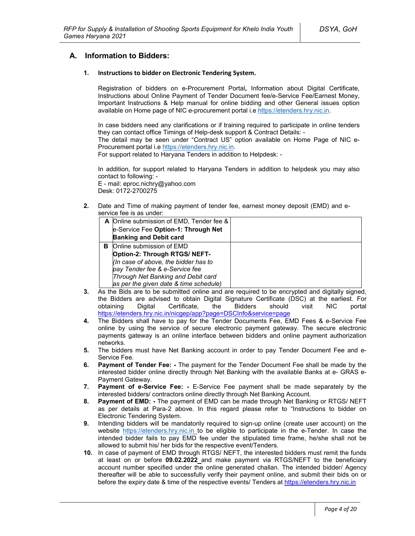## **A. Information to Bidders:**

### **1. Instructions to bidder on Electronic Tendering System.**

Registration of bidders on e-Procurement Portal**,** Information about Digital Certificate, Instructions about Online Payment of Tender Document fee/e-Service Fee/Earnest Money, Important Instructions & Help manual for online bidding and other General issues option available on Home page of NIC e-procurement portal i.e https://etenders.hry.nic.in.

In case bidders need any clarifications or if training required to participate in online tenders they can contact office Timings of Help-desk support & Contract Details: -

The detail may be seen under "Contract US" option available on Home Page of NIC e-Procurement portal i.e https://etenders.hry.nic.in.

For support related to Haryana Tenders in addition to Helpdesk: -

In addition, for support related to Haryana Tenders in addition to helpdesk you may also contact to following: -

E - mail: eproc.nichry@yahoo.com Desk: 0172-2700275

**2.** Date and Time of making payment of tender fee, earnest money deposit (EMD) and eservice fee is as under:

|   | A Online submission of EMD, Tender fee & |  |
|---|------------------------------------------|--|
|   | e-Service Fee Option-1: Through Net      |  |
|   | <b>Banking and Debit card</b>            |  |
| в | Online submission of EMD                 |  |
|   | Option-2: Through RTGS/ NEFT-            |  |
|   | (In case of above, the bidder has to     |  |
|   | pay Tender fee & e-Service fee           |  |
|   | Through Net Banking and Debit card       |  |
|   | as per the given date & time schedule)   |  |

- **3.** As the Bids are to be submitted online and are required to be encrypted and digitally signed, the Bidders are advised to obtain Digital Signature Certificate (DSC) at the earliest. For obtaining Digital Certificate, the Bidders should visit NIC portal https://etenders.hry.nic.in/nicgep/app?page=DSCInfo&service=page
- **4.** The Bidders shall have to pay for the Tender Documents Fee, EMD Fees & e-Service Fee online by using the service of secure electronic payment gateway. The secure electronic payments gateway is an online interface between bidders and online payment authorization networks.
- **5.** The bidders must have Net Banking account in order to pay Tender Document Fee and e-Service Fee.
- **6. Payment of Tender Fee: -** The payment for the Tender Document Fee shall be made by the interested bidder online directly through Net Banking with the available Banks at e- GRAS e-Payment Gateway.
- **7. Payment of e-Service Fee: -** E-Service Fee payment shall be made separately by the interested bidders/ contractors online directly through Net Banking Account.
- **8. Payment of EMD: -** The payment of EMD can be made through Net Banking or RTGS/ NEFT as per details at Para-2 above. In this regard please refer to "Instructions to bidder on Electronic Tendering System.
- **9.** Intending bidders will be mandatorily required to sign-up online (create user account) on the website https://etenders.hry.nic.in to be eligible to participate in the e-Tender. In case the intended bidder fails to pay EMD fee under the stipulated time frame, he/she shall not be allowed to submit his/ her bids for the respective event/Tenders.
- **10.** In case of payment of EMD through RTGS/ NEFT, the interested bidders must remit the funds at least on or before **09.02.2022** and make payment via RTGS/NEFT to the beneficiary account number specified under the online generated challan. The intended bidder/ Agency thereafter will be able to successfully verify their payment online, and submit their bids on or before the expiry date & time of the respective events/ Tenders at https://etenders.hry.nic.in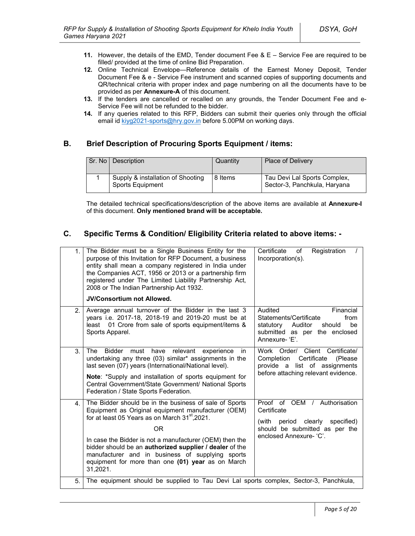- **11.** However, the details of the EMD, Tender document Fee & E Service Fee are required to be filled/ provided at the time of online Bid Preparation.
- **12.** Online Technical Envelope—Reference details of the Earnest Money Deposit, Tender Document Fee & e - Service Fee instrument and scanned copies of supporting documents and QR/technical criteria with proper index and page numbering on all the documents have to be provided as per **Annexure-A** of this document.
- **13.** If the tenders are cancelled or recalled on any grounds, the Tender Document Fee and e-Service Fee will not be refunded to the bidder.
- **14.** If any queries related to this RFP, Bidders can submit their queries only through the official email id kiyg2021-sports@hry.gov.in before 5.00PM on working days.

# **B. Brief Description of Procuring Sports Equipment / items:**

| Sr. No I | Description                                           | Quantity | <b>Place of Delivery</b>                                     |
|----------|-------------------------------------------------------|----------|--------------------------------------------------------------|
|          | Supply & installation of Shooting<br>Sports Equipment | 8 Items  | Tau Devi Lal Sports Complex,<br>Sector-3, Panchkula, Haryana |

The detailed technical specifications/description of the above items are available at **Annexure-I** of this document. **Only mentioned brand will be acceptable.**

# **C. Specific Terms & Condition/ Eligibility Criteria related to above items: -**

| 1.             | The Bidder must be a Single Business Entity for the<br>purpose of this Invitation for RFP Document, a business<br>entity shall mean a company registered in India under<br>the Companies ACT, 1956 or 2013 or a partnership firm<br>registered under The Limited Liability Partnership Act,<br>2008 or The Indian Partnership Act 1932.<br><b>JV/Consortium not Allowed.</b>                                                | Certificate<br>Registration<br>of<br>Incorporation(s).                                                                                              |
|----------------|-----------------------------------------------------------------------------------------------------------------------------------------------------------------------------------------------------------------------------------------------------------------------------------------------------------------------------------------------------------------------------------------------------------------------------|-----------------------------------------------------------------------------------------------------------------------------------------------------|
| 2.             | Average annual turnover of the Bidder in the last 3<br>years i.e. 2017-18, 2018-19 and 2019-20 must be at<br>01 Crore from sale of sports equipment/items &<br>least<br>Sports Apparel.                                                                                                                                                                                                                                     | Audited<br>Financial<br>Statements/Certificate<br>from<br>statutory<br>Auditor<br>be<br>should<br>submitted as per the enclosed<br>Annexure-'E'.    |
| 3.             | <b>The</b><br><b>Bidder</b><br>relevant<br>must<br>have<br>experience<br>in.<br>undertaking any three (03) similar* assignments in the<br>last seven (07) years (International/National level).<br>Note: *Supply and installation of sports equipment for<br>Central Government/State Government/ National Sports<br>Federation / State Sports Federation.                                                                  | Work Order/ Client Certificate/<br>Certificate<br>Completion<br>(Please)<br>list of assignments<br>provide a<br>before attaching relevant evidence. |
| 4 <sup>1</sup> | The Bidder should be in the business of sale of Sports<br>Equipment as Original equipment manufacturer (OEM)<br>for at least 05 Years as on March 31 <sup>st</sup> , 2021.<br>ΟR<br>In case the Bidder is not a manufacturer (OEM) then the<br>bidder should be an authorized supplier / dealer of the<br>manufacturer and in business of supplying sports<br>equipment for more than one (01) year as on March<br>31,2021. | Proof of OEM /<br>Authorisation<br>Certificate<br>(with period clearly<br>specified)<br>should be submitted as per the<br>enclosed Annexure- 'C'.   |
| 5.             | The equipment should be supplied to Tau Devi Lal sports complex, Sector-3, Panchkula,                                                                                                                                                                                                                                                                                                                                       |                                                                                                                                                     |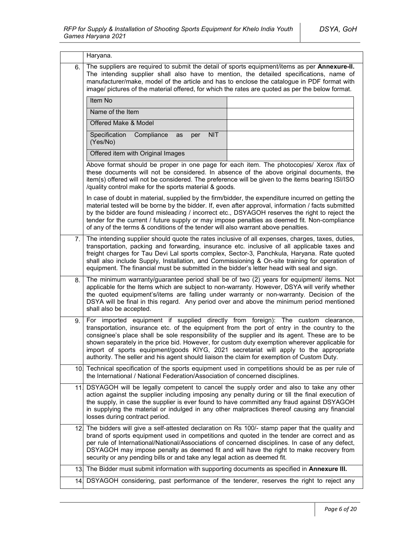|     | Haryana.                                                                                                                                                                                                                                                                                                                                                                                                                                                                                                                                                                  |  |
|-----|---------------------------------------------------------------------------------------------------------------------------------------------------------------------------------------------------------------------------------------------------------------------------------------------------------------------------------------------------------------------------------------------------------------------------------------------------------------------------------------------------------------------------------------------------------------------------|--|
| 6.  | The suppliers are required to submit the detail of sports equipment/items as per Annexure-II.<br>The intending supplier shall also have to mention, the detailed specifications, name of<br>manufacturer/make, model of the article and has to enclose the catalogue in PDF format with<br>image/ pictures of the material offered, for which the rates are quoted as per the below format.                                                                                                                                                                               |  |
|     | Item No                                                                                                                                                                                                                                                                                                                                                                                                                                                                                                                                                                   |  |
|     | Name of the Item                                                                                                                                                                                                                                                                                                                                                                                                                                                                                                                                                          |  |
|     | Offered Make & Model                                                                                                                                                                                                                                                                                                                                                                                                                                                                                                                                                      |  |
|     | Specification<br>Compliance<br><b>NIT</b><br>as<br>per<br>(Yes/No)                                                                                                                                                                                                                                                                                                                                                                                                                                                                                                        |  |
|     | Offered item with Original Images                                                                                                                                                                                                                                                                                                                                                                                                                                                                                                                                         |  |
|     | Above format should be proper in one page for each item. The photocopies/ Xerox /fax of<br>these documents will not be considered. In absence of the above original documents, the<br>item(s) offered will not be considered. The preference will be given to the items bearing ISI/ISO<br>/quality control make for the sports material & goods.                                                                                                                                                                                                                         |  |
|     | In case of doubt in material, supplied by the firm/bidder, the expenditure incurred on getting the<br>material tested will be borne by the bidder. If, even after approval, information / facts submitted<br>by the bidder are found misleading / incorrect etc., DSYAGOH reserves the right to reject the<br>tender for the current / future supply or may impose penalties as deemed fit. Non-compliance<br>of any of the terms & conditions of the tender will also warrant above penalties.                                                                           |  |
| 7.  | The intending supplier should quote the rates inclusive of all expenses, charges, taxes, duties,<br>transportation, packing and forwarding, insurance etc. inclusive of all applicable taxes and<br>freight charges for Tau Devi Lal sports complex, Sector-3, Panchkula, Haryana. Rate quoted<br>shall also include Supply, Installation, and Commissioning & On-site training for operation of<br>equipment. The financial must be submitted in the bidder's letter head with seal and sign.                                                                            |  |
| 8.  | The minimum warranty/guarantee period shall be of two (2) years for equipment/ items. Not<br>applicable for the Items which are subject to non-warranty. However, DSYA will verify whether<br>the quoted equipment's/items are falling under warranty or non-warranty. Decision of the<br>DSYA will be final in this regard. Any period over and above the minimum period mentioned<br>shall also be accepted.                                                                                                                                                            |  |
| 9.  | For imported equipment if supplied directly from foreign): The custom clearance,<br>transportation, insurance etc. of the equipment from the port of entry in the country to the<br>consignee's place shall be sole responsibility of the supplier and its agent. These are to be<br>shown separately in the price bid. However, for custom duty exemption wherever applicable for<br>import of sports equipment/goods KIYG, 2021 secretariat will apply to the appropriate<br>authority. The seller and his agent should liaison the claim for exemption of Custom Duty. |  |
|     | 10. Technical specification of the sports equipment used in competitions should be as per rule of<br>the International / National Federation/Association of concerned disciplines.                                                                                                                                                                                                                                                                                                                                                                                        |  |
| 11. | DSYAGOH will be legally competent to cancel the supply order and also to take any other<br>action against the supplier including imposing any penalty during or till the final execution of<br>the supply, in case the supplier is ever found to have committed any fraud against DSYAGOH<br>in supplying the material or indulged in any other malpractices thereof causing any financial<br>losses during contract period.                                                                                                                                              |  |
| 12. | The bidders will give a self-attested declaration on Rs 100/- stamp paper that the quality and<br>brand of sports equipment used in competitions and quoted in the tender are correct and as<br>per rule of International/National/Associations of concerned disciplines. In case of any defect,<br>DSYAGOH may impose penalty as deemed fit and will have the right to make recovery from<br>security or any pending bills or and take any legal action as deemed fit.                                                                                                   |  |
| 13. | The Bidder must submit information with supporting documents as specified in Annexure III.                                                                                                                                                                                                                                                                                                                                                                                                                                                                                |  |
| 14. | DSYAGOH considering, past performance of the tenderer, reserves the right to reject any                                                                                                                                                                                                                                                                                                                                                                                                                                                                                   |  |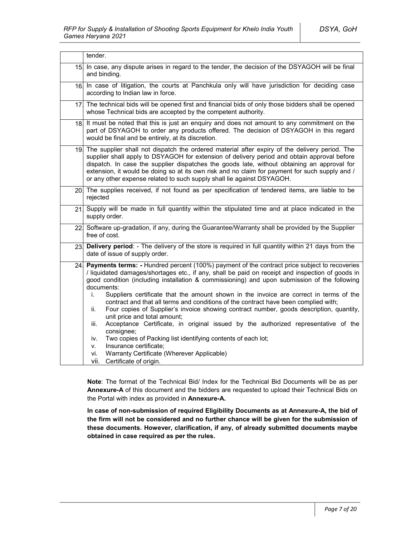|     | tender.                                                                                                                                                                                                                                                                                                                                                                                                                                                                                                                                                                                                                                                                                                                                                                                                                                                                                                                                                  |  |
|-----|----------------------------------------------------------------------------------------------------------------------------------------------------------------------------------------------------------------------------------------------------------------------------------------------------------------------------------------------------------------------------------------------------------------------------------------------------------------------------------------------------------------------------------------------------------------------------------------------------------------------------------------------------------------------------------------------------------------------------------------------------------------------------------------------------------------------------------------------------------------------------------------------------------------------------------------------------------|--|
| 15. | In case, any dispute arises in regard to the tender, the decision of the DSYAGOH will be final<br>and binding.                                                                                                                                                                                                                                                                                                                                                                                                                                                                                                                                                                                                                                                                                                                                                                                                                                           |  |
| 16. | In case of litigation, the courts at Panchkula only will have jurisdiction for deciding case<br>according to Indian law in force.                                                                                                                                                                                                                                                                                                                                                                                                                                                                                                                                                                                                                                                                                                                                                                                                                        |  |
|     | 17 The technical bids will be opened first and financial bids of only those bidders shall be opened<br>whose Technical bids are accepted by the competent authority.                                                                                                                                                                                                                                                                                                                                                                                                                                                                                                                                                                                                                                                                                                                                                                                     |  |
| 18. | It must be noted that this is just an enquiry and does not amount to any commitment on the<br>part of DSYAGOH to order any products offered. The decision of DSYAGOH in this regard<br>would be final and be entirely, at its discretion.                                                                                                                                                                                                                                                                                                                                                                                                                                                                                                                                                                                                                                                                                                                |  |
|     | 19. The supplier shall not dispatch the ordered material after expiry of the delivery period. The<br>supplier shall apply to DSYAGOH for extension of delivery period and obtain approval before<br>dispatch. In case the supplier dispatches the goods late, without obtaining an approval for<br>extension, it would be doing so at its own risk and no claim for payment for such supply and /<br>or any other expense related to such supply shall lie against DSYAGOH.                                                                                                                                                                                                                                                                                                                                                                                                                                                                              |  |
|     | 20. The supplies received, if not found as per specification of tendered items, are liable to be<br>rejected                                                                                                                                                                                                                                                                                                                                                                                                                                                                                                                                                                                                                                                                                                                                                                                                                                             |  |
| 21  | Supply will be made in full quantity within the stipulated time and at place indicated in the<br>supply order.                                                                                                                                                                                                                                                                                                                                                                                                                                                                                                                                                                                                                                                                                                                                                                                                                                           |  |
|     | 22 Software up-gradation, if any, during the Guarantee/Warranty shall be provided by the Supplier<br>free of cost.                                                                                                                                                                                                                                                                                                                                                                                                                                                                                                                                                                                                                                                                                                                                                                                                                                       |  |
| 23. | Delivery period: - The delivery of the store is required in full quantity within 21 days from the<br>date of issue of supply order.                                                                                                                                                                                                                                                                                                                                                                                                                                                                                                                                                                                                                                                                                                                                                                                                                      |  |
| 24. | <b>Payments terms:</b> - Hundred percent (100%) payment of the contract price subject to recoveries<br>/ liquidated damages/shortages etc., if any, shall be paid on receipt and inspection of goods in<br>good condition (including installation & commissioning) and upon submission of the following<br>documents:<br>Suppliers certificate that the amount shown in the invoice are correct in terms of the<br>i.<br>contract and that all terms and conditions of the contract have been complied with;<br>Four copies of Supplier's invoice showing contract number, goods description, quantity,<br>ii.<br>unit price and total amount;<br>Acceptance Certificate, in original issued by the authorized representative of the<br>iii.<br>consignee;<br>Two copies of Packing list identifying contents of each lot;<br>iv.<br>Insurance certificate;<br>V.<br>Warranty Certificate (Wherever Applicable)<br>vi.<br>Certificate of origin.<br>vii. |  |

**Note**: The format of the Technical Bid/ Index for the Technical Bid Documents will be as per **Annexure-A** of this document and the bidders are requested to upload their Technical Bids on the Portal with index as provided in **Annexure-A.**

**In case of non-submission of required Eligibility Documents as at Annexure-A, the bid of the firm will not be considered and no further chance will be given for the submission of these documents. However, clarification, if any, of already submitted documents maybe obtained in case required as per the rules.**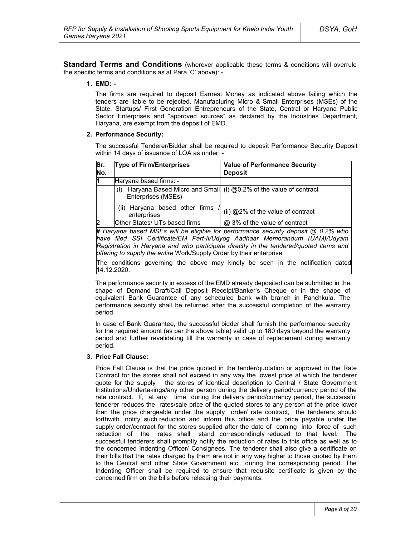**Standard Terms and Conditions** (wherever applicable these terms & conditions will overrule the specific terms and conditions as at Para 'C' above): -

### **1. EMD: -**

The firms are required to deposit Earnest Money as indicated above failing which the tenders are liable to be rejected. Manufacturing Micro & Small Enterprises (MSEs) of the State, Startups/ First Generation Entrepreneurs of the State, Central or Haryana Public Sector Enterprises and "approved sources" as declared by the Industries Department, Haryana, are exempt from the deposit of EMD.

#### **2. Performance Security:**

The successful Tenderer/Bidder shall be required to deposit Performance Security Deposit within 14 days of issuance of LOA as under: -

| Sr.<br>No. | <b>Type of Firm/Enterprises</b>               | <b>Value of Performance Security</b><br><b>Deposit</b>                                     |
|------------|-----------------------------------------------|--------------------------------------------------------------------------------------------|
|            | Haryana based firms: -                        |                                                                                            |
|            | (1)<br>Enterprises (MSEs)                     | Haryana Based Micro and Small (i) @0.2% of the value of contract                           |
|            | (ii) Haryana based other firms<br>enterprises | (ii) @2% of the value of contract                                                          |
|            | Other States/ UTs based firms                 | @ 3% of the value of contract                                                              |
|            |                                               | <b>#</b> Harvana hased MSEs will he eligible for performance security deposit @ 0.2% who l |

**#** *Haryana based MSEs will be eligible for performance security deposit @ 0.2% who have filed SSI Certificate/EM Part-II/Udyog Aadhaar Memorandum (UAM)/Udyam Registration in Haryana and who participate directly in the tendered/quoted items and offering to supply the entire* Work/Supply Order by their enterprise*.*

The conditions governing the above may kindly be seen in the notification dated 14.12.2020.

The performance security in excess of the EMD already deposited can be submitted in the shape of Demand Draft/Call Deposit Receipt/Banker's Cheque or in the shape of equivalent Bank Guarantee of any scheduled bank with branch in Panchkula. The performance security shall be returned after the successful completion of the warranty period.

In case of Bank Guarantee, the successful bidder shall furnish the performance security for the required amount (as per the above table) valid up to 180 days beyond the warranty period and further revalidating till the warranty in case of replacement during warranty period.

#### **3. Price Fall Clause:**

Price Fall Clause is that the price quoted in the tender/quotation or approved in the Rate Contract for the stores shall not exceed in any way the lowest price at which the tenderer quote for the supply the stores of identical description to Central / State Government Institutions/Undertakings/any other person during the delivery period/currency period of the rate contract. If, at any time during the delivery period/currency period, the successful tenderer reduces the rates/sale price of the quoted stores to any person at the price lower than the price chargeable under the supply order/ rate contract, the tenderers should forthwith notify such reduction and inform this office and the price payable under the supply order/contract for the stores supplied after the date of coming into force of such reduction of the rates shall stand correspondingly reduced to that level. The successful tenderers shall promptly notify the reduction of rates to this office as well as to the concerned Indenting Officer/ Consignees. The tenderer shall also give a certificate on their bills that the rates charged by them are not in any way higher to those quoted by them to the Central and other State Government etc., during the corresponding period. The Indenting Officer shall be required to ensure that requisite certificate is given by the concerned firm on the bills before releasing their payments.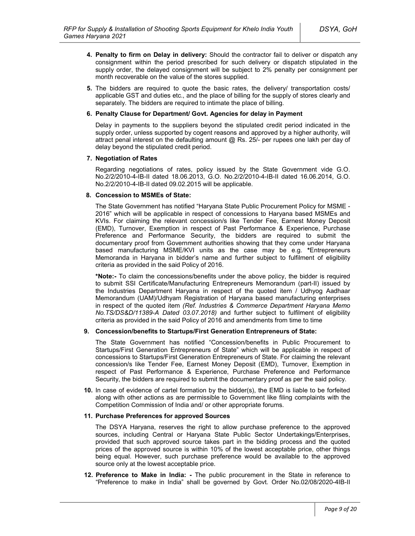- **4. Penalty to firm on Delay in delivery:** Should the contractor fail to deliver or dispatch any consignment within the period prescribed for such delivery or dispatch stipulated in the supply order, the delayed consignment will be subject to 2% penalty per consignment per month recoverable on the value of the stores supplied.
- **5.** The bidders are required to quote the basic rates, the delivery/ transportation costs/ applicable GST and duties etc., and the place of billing for the supply of stores clearly and separately. The bidders are required to intimate the place of billing.

### **6. Penalty Clause for Department/ Govt. Agencies for delay in Payment**

Delay in payments to the suppliers beyond the stipulated credit period indicated in the supply order, unless supported by cogent reasons and approved by a higher authority, will attract penal interest on the defaulting amount @ Rs. 25/- per rupees one lakh per day of delay beyond the stipulated credit period.

### **7. Negotiation of Rates**

Regarding negotiations of rates, policy issued by the State Government vide G.O. No.2/2/2010-4-IB-II dated 18.06.2013, G.O. No.2/2/2010-4-IB-II dated 16.06.2014, G.O. No.2/2/2010-4-IB-II dated 09.02.2015 will be applicable.

### **8. Concession to MSMEs of State:**

The State Government has notified "Haryana State Public Procurement Policy for MSME - 2016" which will be applicable in respect of concessions to Haryana based MSMEs and KVIs. For claiming the relevant concession/s like Tender Fee, Earnest Money Deposit (EMD), Turnover, Exemption in respect of Past Performance & Experience, Purchase Preference and Performance Security, the bidders are required to submit the documentary proof from Government authorities showing that they come under Haryana based manufacturing MSME/KVI units as the case may be e.g. **\***Entrepreneurs Memoranda in Haryana in bidder's name and further subject to fulfilment of eligibility criteria as provided in the said Policy of 2016.

**\*Note:-** To claim the concessions/benefits under the above policy, the bidder is required to submit SSI Certificate/Manufacturing Entrepreneurs Memorandum (part-II) issued by the Industries Department Haryana in respect of the quoted item / Udhyog Aadhaar Memorandum (UAM)/Udhyam Registration of Haryana based manufacturing enterprises in respect of the quoted item *(Ref. Industries & Commerce Department Haryana Memo No.TS/DS&D/11389-A Dated 03.07.2018)* and further subject to fulfilment of eligibility criteria as provided in the said Policy of 2016 and amendments from time to time

### **9. Concession/benefits to Startups/First Generation Entrepreneurs of State:**

The State Government has notified "Concession/benefits in Public Procurement to Startups/First Generation Entrepreneurs of State" which will be applicable in respect of concessions to Startups/First Generation Entrepreneurs of State. For claiming the relevant concession/s like Tender Fee, Earnest Money Deposit (EMD), Turnover, Exemption in respect of Past Performance & Experience, Purchase Preference and Performance Security, the bidders are required to submit the documentary proof as per the said policy.

**10.** In case of evidence of cartel formation by the bidder(s), the EMD is liable to be forfeited along with other actions as are permissible to Government like filing complaints with the Competition Commission of India and/ or other appropriate forums.

#### **11. Purchase Preferences for approved Sources**

The DSYA Haryana, reserves the right to allow purchase preference to the approved sources, including Central or Haryana State Public Sector Undertakings/Enterprises, provided that such approved source takes part in the bidding process and the quoted prices of the approved source is within 10% of the lowest acceptable price, other things being equal. However, such purchase preference would be available to the approved source only at the lowest acceptable price.

**12. Preference to Make in India: -** The public procurement in the State in reference to "Preference to make in India" shall be governed by Govt. Order No.02/08/2020-4IB-II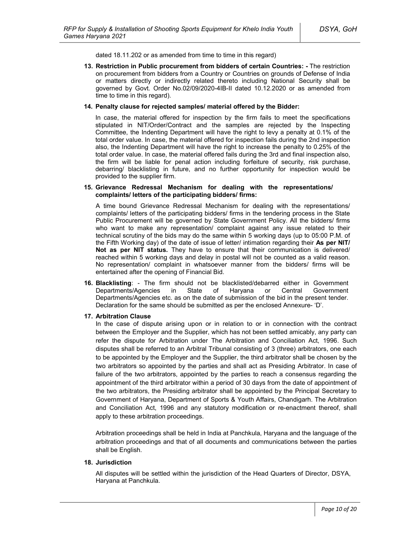dated 18.11.202 or as amended from time to time in this regard)

**13. Restriction in Public procurement from bidders of certain Countries: -** The restriction on procurement from bidders from a Country or Countries on grounds of Defense of India or matters directly or indirectly related thereto including National Security shall be governed by Govt. Order No.02/09/2020-4IB-II dated 10.12.2020 or as amended from time to time in this regard).

#### **14. Penalty clause for rejected samples/ material offered by the Bidder:**

In case, the material offered for inspection by the firm fails to meet the specifications stipulated in NIT/Order/Contract and the samples are rejected by the Inspecting Committee, the Indenting Department will have the right to levy a penalty at 0.1% of the total order value. In case, the material offered for inspection fails during the 2nd inspection also, the Indenting Department will have the right to increase the penalty to 0.25% of the total order value. In case, the material offered fails during the 3rd and final inspection also, the firm will be liable for penal action including forfeiture of security, risk purchase, debarring/ blacklisting in future, and no further opportunity for inspection would be provided to the supplier firm.

#### **15. Grievance Redressal Mechanism for dealing with the representations/ complaints/ letters of the participating bidders/ firms:**

A time bound Grievance Redressal Mechanism for dealing with the representations/ complaints/ letters of the participating bidders/ firms in the tendering process in the State Public Procurement will be governed by State Government Policy. All the bidders/ firms who want to make any representation/ complaint against any issue related to their technical scrutiny of the bids may do the same within 5 working days (up to 05:00 P.M. of the Fifth Working day) of the date of issue of letter/ intimation regarding their **As per NIT/ Not as per NIT status.** They have to ensure that their communication is delivered/ reached within 5 working days and delay in postal will not be counted as a valid reason. No representation/ complaint in whatsoever manner from the bidders/ firms will be entertained after the opening of Financial Bid.

**16. Blacklisting**: - The firm should not be blacklisted/debarred either in Government Departments/Agencies in State of Haryana or Central Government Departments/Agencies etc. as on the date of submission of the bid in the present tender. Declaration for the same should be submitted as per the enclosed Annexure- 'D'.

#### **17. Arbitration Clause**

In the case of dispute arising upon or in relation to or in connection with the contract between the Employer and the Supplier, which has not been settled amicably, any party can refer the dispute for Arbitration under The Arbitration and Conciliation Act, 1996. Such disputes shall be referred to an Arbitral Tribunal consisting of 3 (three) arbitrators, one each to be appointed by the Employer and the Supplier, the third arbitrator shall be chosen by the two arbitrators so appointed by the parties and shall act as Presiding Arbitrator. In case of failure of the two arbitrators, appointed by the parties to reach a consensus regarding the appointment of the third arbitrator within a period of 30 days from the date of appointment of the two arbitrators, the Presiding arbitrator shall be appointed by the Principal Secretary to Government of Haryana, Department of Sports & Youth Affairs, Chandigarh. The Arbitration and Conciliation Act, 1996 and any statutory modification or re-enactment thereof, shall apply to these arbitration proceedings.

Arbitration proceedings shall be held in India at Panchkula, Haryana and the language of the arbitration proceedings and that of all documents and communications between the parties shall be English.

### **18. Jurisdiction**

All disputes will be settled within the jurisdiction of the Head Quarters of Director, DSYA, Haryana at Panchkula.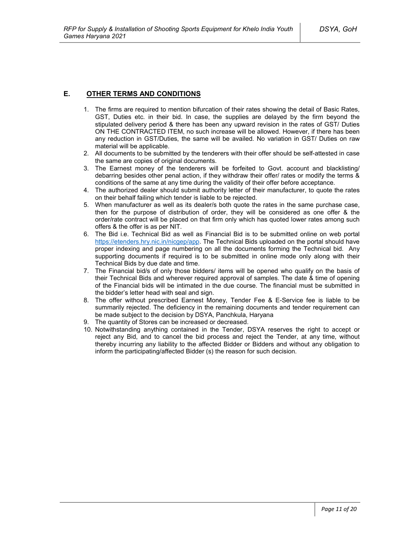### **E. OTHER TERMS AND CONDITIONS**

- 1. The firms are required to mention bifurcation of their rates showing the detail of Basic Rates, GST, Duties etc. in their bid. In case, the supplies are delayed by the firm beyond the stipulated delivery period & there has been any upward revision in the rates of GST/ Duties ON THE CONTRACTED ITEM, no such increase will be allowed. However, if there has been any reduction in GST/Duties, the same will be availed. No variation in GST/ Duties on raw material will be applicable.
- 2. All documents to be submitted by the tenderers with their offer should be self-attested in case the same are copies of original documents.
- 3. The Earnest money of the tenderers will be forfeited to Govt. account and blacklisting/ debarring besides other penal action, if they withdraw their offer/ rates or modify the terms & conditions of the same at any time during the validity of their offer before acceptance.
- 4. The authorized dealer should submit authority letter of their manufacturer, to quote the rates on their behalf failing which tender is liable to be rejected.
- 5. When manufacturer as well as its dealer/s both quote the rates in the same purchase case, then for the purpose of distribution of order, they will be considered as one offer & the order/rate contract will be placed on that firm only which has quoted lower rates among such offers & the offer is as per NIT.
- 6. The Bid i.e. Technical Bid as well as Financial Bid is to be submitted online on web portal https://etenders.hry.nic.in/nicgep/app. The Technical Bids uploaded on the portal should have proper indexing and page numbering on all the documents forming the Technical bid. Any supporting documents if required is to be submitted in online mode only along with their Technical Bids by due date and time.
- 7. The Financial bid/s of only those bidders/ items will be opened who qualify on the basis of their Technical Bids and wherever required approval of samples. The date & time of opening of the Financial bids will be intimated in the due course. The financial must be submitted in the bidder's letter head with seal and sign.
- 8. The offer without prescribed Earnest Money, Tender Fee & E-Service fee is liable to be summarily rejected. The deficiency in the remaining documents and tender requirement can be made subject to the decision by DSYA, Panchkula, Haryana
- 9. The quantity of Stores can be increased or decreased.
- 10. Notwithstanding anything contained in the Tender, DSYA reserves the right to accept or reject any Bid, and to cancel the bid process and reject the Tender, at any time, without thereby incurring any liability to the affected Bidder or Bidders and without any obligation to inform the participating/affected Bidder (s) the reason for such decision.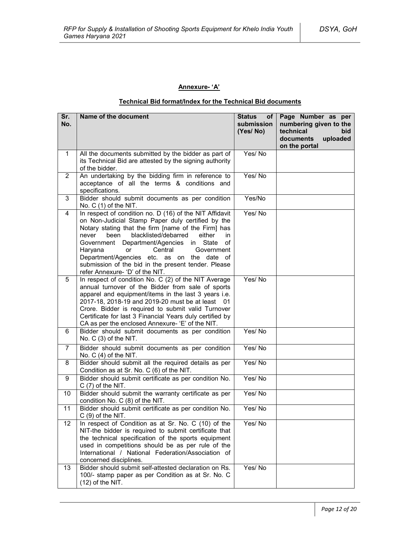# **Annexure- 'A'**

# **Technical Bid format/Index for the Technical Bid documents**

| Sr.<br>No.     | Name of the document                                                                                                                                                                                                                                                                                                                                                                                                                                            | <b>Status</b><br>of l<br>submission<br>(Yes/No) | Page Number as per<br>numbering given to the<br>technical<br>bid<br>uploaded<br>documents<br>on the portal |
|----------------|-----------------------------------------------------------------------------------------------------------------------------------------------------------------------------------------------------------------------------------------------------------------------------------------------------------------------------------------------------------------------------------------------------------------------------------------------------------------|-------------------------------------------------|------------------------------------------------------------------------------------------------------------|
| $\mathbf{1}$   | All the documents submitted by the bidder as part of<br>its Technical Bid are attested by the signing authority<br>of the bidder.                                                                                                                                                                                                                                                                                                                               | Yes/No                                          |                                                                                                            |
| $\overline{2}$ | An undertaking by the bidding firm in reference to<br>acceptance of all the terms & conditions and<br>specifications.                                                                                                                                                                                                                                                                                                                                           | Yes/No                                          |                                                                                                            |
| 3              | Bidder should submit documents as per condition<br>No. $C(1)$ of the NIT.                                                                                                                                                                                                                                                                                                                                                                                       | Yes/No                                          |                                                                                                            |
| 4              | In respect of condition no. D (16) of the NIT Affidavit<br>on Non-Judicial Stamp Paper duly certified by the<br>Notary stating that the firm [name of the Firm] has<br>blacklisted/debarred<br>been<br>either<br>never<br>in<br>Government Department/Agencies in State<br>οf<br>Haryana<br>or<br>Central<br>Government<br>Department/Agencies etc. as on the date of<br>submission of the bid in the present tender. Please<br>refer Annexure- 'D' of the NIT. | Yes/No                                          |                                                                                                            |
| 5              | In respect of condition No. C (2) of the NIT Average<br>annual turnover of the Bidder from sale of sports<br>apparel and equipment/items in the last 3 years i.e.<br>2017-18, 2018-19 and 2019-20 must be at least 01<br>Crore. Bidder is required to submit valid Turnover<br>Certificate for last 3 Financial Years duly certified by<br>CA as per the enclosed Annexure- 'E' of the NIT.                                                                     | Yes/No                                          |                                                                                                            |
| 6              | Bidder should submit documents as per condition<br>No. C (3) of the NIT.                                                                                                                                                                                                                                                                                                                                                                                        | Yes/No                                          |                                                                                                            |
| $\overline{7}$ | Bidder should submit documents as per condition<br>No. $C(4)$ of the NIT.                                                                                                                                                                                                                                                                                                                                                                                       | Yes/No                                          |                                                                                                            |
| 8              | Bidder should submit all the required details as per<br>Condition as at Sr. No. C (6) of the NIT.                                                                                                                                                                                                                                                                                                                                                               | Yes/No                                          |                                                                                                            |
| 9              | Bidder should submit certificate as per condition No.<br>$C(7)$ of the NIT.                                                                                                                                                                                                                                                                                                                                                                                     | Yes/No                                          |                                                                                                            |
| 10             | Bidder should submit the warranty certificate as per<br>condition No. C (8) of the NIT.                                                                                                                                                                                                                                                                                                                                                                         | Yes/No                                          |                                                                                                            |
| 11             | Bidder should submit certificate as per condition No.<br>$C(9)$ of the NIT.                                                                                                                                                                                                                                                                                                                                                                                     | Yes/No                                          |                                                                                                            |
| 12             | In respect of Condition as at Sr. No. C (10) of the<br>NIT-the bidder is required to submit certificate that<br>the technical specification of the sports equipment<br>used in competitions should be as per rule of the<br>International / National Federation/Association of<br>concerned disciplines.                                                                                                                                                        | Yes/No                                          |                                                                                                            |
| 13             | Bidder should submit self-attested declaration on Rs.<br>100/- stamp paper as per Condition as at Sr. No. C<br>$(12)$ of the NIT.                                                                                                                                                                                                                                                                                                                               | Yes/No                                          |                                                                                                            |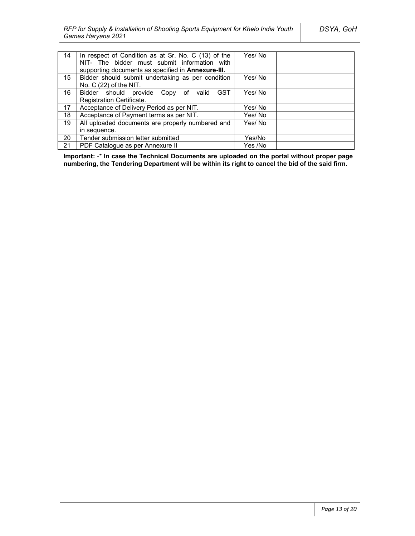| 14 | In respect of Condition as at Sr. No. C (13) of the | Yes/No  |
|----|-----------------------------------------------------|---------|
|    | NIT- The bidder must submit information with        |         |
|    | supporting documents as specified in Annexure-III.  |         |
| 15 | Bidder should submit undertaking as per condition   | Yes/No  |
|    | No. $C(22)$ of the NIT.                             |         |
| 16 | Bidder should provide Copy of valid<br>GST          | Yes/No  |
|    | Registration Certificate.                           |         |
| 17 | Acceptance of Delivery Period as per NIT.           | Yes/ No |
| 18 | Acceptance of Payment terms as per NIT.             | Yes/No  |
| 19 | All uploaded documents are properly numbered and    | Yes/No  |
|    | in sequence.                                        |         |
| 20 | Tender submission letter submitted                  | Yes/No  |
| 21 | PDF Catalogue as per Annexure II                    | Yes /No |

**Important:** -\* **In case the Technical Documents are uploaded on the portal without proper page numbering, the Tendering Department will be within its right to cancel the bid of the said firm.**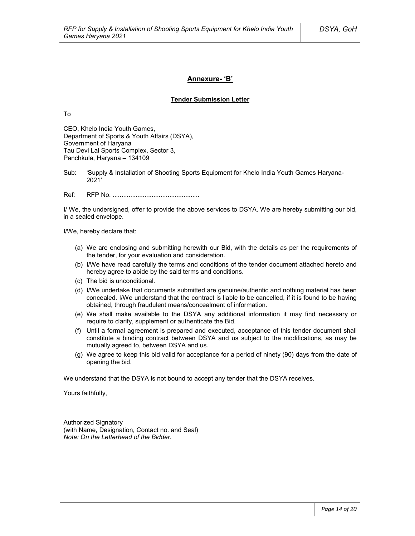### **Annexure- 'B'**

#### **Tender Submission Letter**

To

CEO, Khelo India Youth Games, Department of Sports & Youth Affairs (DSYA), Government of Haryana Tau Devi Lal Sports Complex, Sector 3, Panchkula, Haryana – 134109

Sub: 'Supply & Installation of Shooting Sports Equipment for Khelo India Youth Games Haryana-2021'

Ref: RFP No. .................................................

I/ We, the undersigned, offer to provide the above services to DSYA. We are hereby submitting our bid, in a sealed envelope.

I/We, hereby declare that:

- (a) We are enclosing and submitting herewith our Bid, with the details as per the requirements of the tender, for your evaluation and consideration.
- (b) I/We have read carefully the terms and conditions of the tender document attached hereto and hereby agree to abide by the said terms and conditions.
- (c) The bid is unconditional.
- (d) I/We undertake that documents submitted are genuine/authentic and nothing material has been concealed. I/We understand that the contract is liable to be cancelled, if it is found to be having obtained, through fraudulent means/concealment of information.
- (e) We shall make available to the DSYA any additional information it may find necessary or require to clarify, supplement or authenticate the Bid.
- (f) Until a formal agreement is prepared and executed, acceptance of this tender document shall constitute a binding contract between DSYA and us subject to the modifications, as may be mutually agreed to, between DSYA and us.
- (g) We agree to keep this bid valid for acceptance for a period of ninety (90) days from the date of opening the bid.

We understand that the DSYA is not bound to accept any tender that the DSYA receives.

Yours faithfully,

Authorized Signatory (with Name, Designation, Contact no. and Seal) *Note: On the Letterhead of the Bidder.*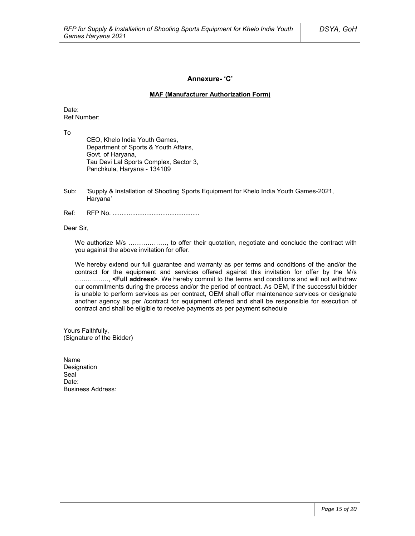### **Annexure- 'C'**

### **MAF (Manufacturer Authorization Form)**

Date: Ref Number:

To

CEO, Khelo India Youth Games, Department of Sports & Youth Affairs, Govt. of Haryana, Tau Devi Lal Sports Complex, Sector 3, Panchkula, Haryana - 134109

- Sub: 'Supply & Installation of Shooting Sports Equipment for Khelo India Youth Games-2021, Haryana'
- Ref: RFP No. .................................................

Dear Sir,

We authorize M/s ………………, to offer their quotation, negotiate and conclude the contract with you against the above invitation for offer.

We hereby extend our full guarantee and warranty as per terms and conditions of the and/or the contract for the equipment and services offered against this invitation for offer by the M/s ……………., **<Full address>**. We hereby commit to the terms and conditions and will not withdraw our commitments during the process and/or the period of contract. As OEM, if the successful bidder is unable to perform services as per contract, OEM shall offer maintenance services or designate another agency as per /contract for equipment offered and shall be responsible for execution of contract and shall be eligible to receive payments as per payment schedule

Yours Faithfully, (Signature of the Bidder)

Name Designation Seal<sup>1</sup> Date<sup>.</sup> Business Address: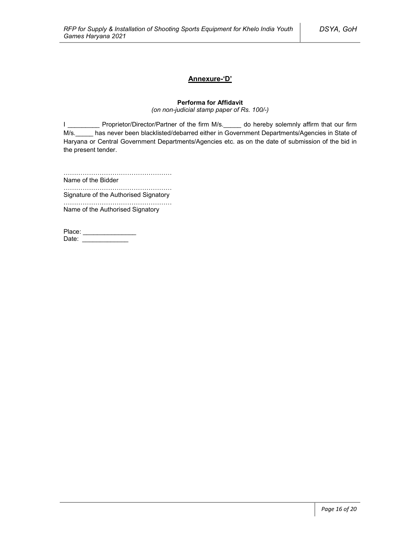### **Annexure-'D'**

### **Performa for Affidavit**

*(on non-judicial stamp paper of Rs. 100/-)*

I \_\_\_\_\_\_\_\_\_\_\_ Proprietor/Director/Partner of the firm M/s.\_\_\_\_\_ do hereby solemnly affirm that our firm M/s. has never been blacklisted/debarred either in Government Departments/Agencies in State of Haryana or Central Government Departments/Agencies etc. as on the date of submission of the bid in the present tender.

……………………………………………

Name of the Bidder ……………………………………………

Signature of the Authorised Signatory

…………………………………………… Name of the Authorised Signatory

| Place: |  |
|--------|--|
| Date:  |  |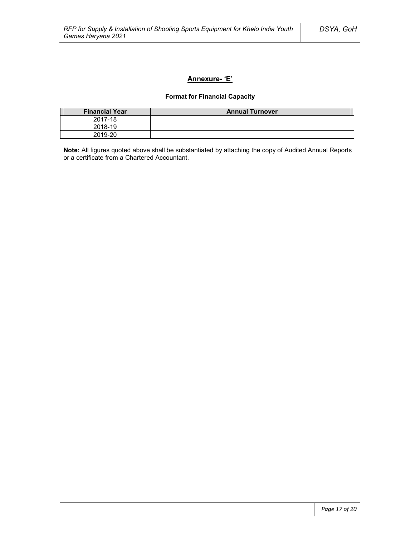### **Annexure- 'E'**

### **Format for Financial Capacity**

| <b>Financial Year</b> | <b>Annual Turnover</b> |
|-----------------------|------------------------|
| 2017-18               |                        |
| 2018-19               |                        |
| 2019-20               |                        |

**Note:** All figures quoted above shall be substantiated by attaching the copy of Audited Annual Reports or a certificate from a Chartered Accountant.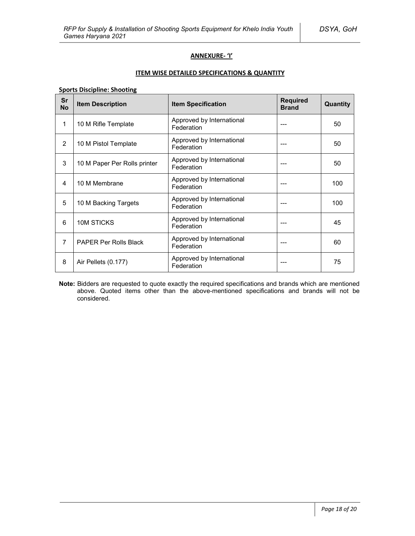### **ANNEXURE- 'I'**

### **ITEM WISE DETAILED SPECIFICATIONS & QUANTITY**

**Sports Discipline: Shooting**

| Sr<br><b>No</b> | <b>Item Description</b>      | <b>Item Specification</b>               | <b>Required</b><br><b>Brand</b> | Quantity |
|-----------------|------------------------------|-----------------------------------------|---------------------------------|----------|
| 1               | 10 M Rifle Template          | Approved by International<br>Federation | ---                             | 50       |
| 2               | 10 M Pistol Template         | Approved by International<br>Federation |                                 | 50       |
| 3               | 10 M Paper Per Rolls printer | Approved by International<br>Federation |                                 | 50       |
| 4               | 10 M Membrane                | Approved by International<br>Federation | ---                             | 100      |
| 5               | 10 M Backing Targets         | Approved by International<br>Federation | $---$                           | 100      |
| 6               | 10M STICKS                   | Approved by International<br>Federation | ---                             | 45       |
| $\overline{7}$  | <b>PAPER Per Rolls Black</b> | Approved by International<br>Federation |                                 | 60       |
| 8               | Air Pellets (0.177)          | Approved by International<br>Federation | ---                             | 75       |

**Note:** Bidders are requested to quote exactly the required specifications and brands which are mentioned above. Quoted items other than the above-mentioned specifications and brands will not be considered.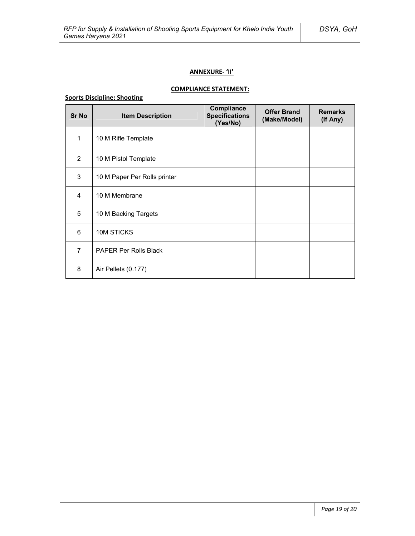### **ANNEXURE- 'II'**

### **COMPLIANCE STATEMENT:**

# **Sports Discipline: Shooting**

| <b>Sr No</b>   | <b>Item Description</b>      | Compliance<br><b>Specifications</b><br>(Yes/No) | <b>Offer Brand</b><br>(Make/Model) | <b>Remarks</b><br>(If Any) |
|----------------|------------------------------|-------------------------------------------------|------------------------------------|----------------------------|
| 1              | 10 M Rifle Template          |                                                 |                                    |                            |
| 2              | 10 M Pistol Template         |                                                 |                                    |                            |
| 3              | 10 M Paper Per Rolls printer |                                                 |                                    |                            |
| $\overline{4}$ | 10 M Membrane                |                                                 |                                    |                            |
| 5              | 10 M Backing Targets         |                                                 |                                    |                            |
| 6              | 10M STICKS                   |                                                 |                                    |                            |
| $\overline{7}$ | <b>PAPER Per Rolls Black</b> |                                                 |                                    |                            |
| 8              | Air Pellets (0.177)          |                                                 |                                    |                            |